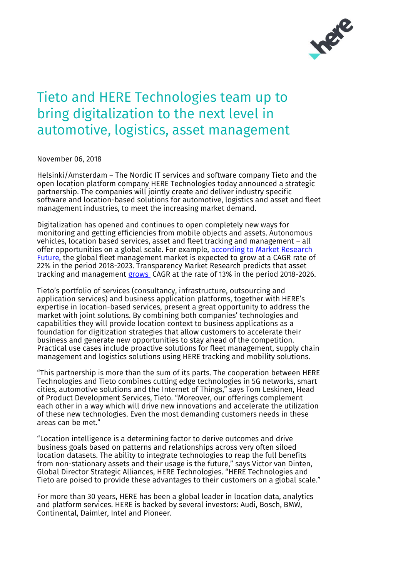

## Tieto and HERE Technologies team up to bring digitalization to the next level in automotive, logistics, asset management

November 06, 2018

Helsinki/Amsterdam – The Nordic IT services and software company Tieto and the open location platform company HERE Technologies today announced a strategic partnership. The companies will jointly create and deliver industry specific software and location-based solutions for automotive, logistics and asset and fleet management industries, to meet the increasing market demand.

Digitalization has opened and continues to open completely new ways for monitoring and getting efficiencies from mobile objects and assets. Autonomous vehicles, location based services, asset and fleet tracking and management – all offer opportunities on a global scale. For example, according to Market Research [Future,](https://www.marketresearchfuture.com/reports/fleet-management-market-2646) the global fleet management market is expected to grow at a CAGR rate of 22% in the period 2018-2023. Transparency Market Research predicts that asset tracking and management [grows](https://www.prnewswire.com/news-releases/asset-tracking-and-inventory-management-solutions-market-to-be-worth-us-3059-bn-by-2026---tmr-682360401.html) CAGR at the rate of 13% in the period 2018-2026.

Tieto's portfolio of services (consultancy, infrastructure, outsourcing and application services) and business application platforms, together with HERE's expertise in location-based services, present a great opportunity to address the market with joint solutions. By combining both companies' technologies and capabilities they will provide location context to business applications as a foundation for digitization strategies that allow customers to accelerate their business and generate new opportunities to stay ahead of the competition. Practical use cases include proactive solutions for fleet management, supply chain management and logistics solutions using HERE tracking and mobility solutions.

"This partnership is more than the sum of its parts. The cooperation between HERE Technologies and Tieto combines cutting edge technologies in 5G networks, smart cities, automotive solutions and the Internet of Things," says Tom Leskinen, Head of Product Development Services, Tieto. "Moreover, our offerings complement each other in a way which will drive new innovations and accelerate the utilization of these new technologies. Even the most demanding customers needs in these areas can be met."

"Location intelligence is a determining factor to derive outcomes and drive business goals based on patterns and relationships across very often siloed location datasets. The ability to integrate technologies to reap the full benefits from non-stationary assets and their usage is the future," says Victor van Dinten, Global Director Strategic Alliances, HERE Technologies. "HERE Technologies and Tieto are poised to provide these advantages to their customers on a global scale."

For more than 30 years, HERE has been a global leader in location data, analytics and platform services. HERE is backed by several investors: Audi, Bosch, BMW, Continental, Daimler, Intel and Pioneer.